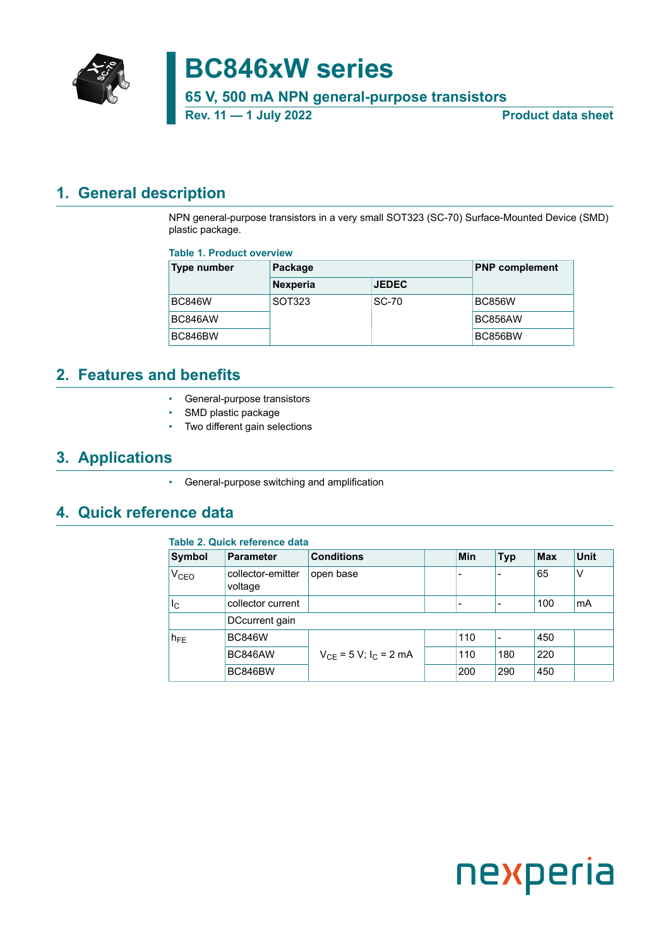

## **BC846xW series**

**65 V, 500 mA NPN general-purpose transistors**

**Rev. 11 — 1 July 2022 Product data sheet**

### <span id="page-0-0"></span>**1. General description**

NPN general-purpose transistors in a very small SOT323 (SC-70) Surface-Mounted Device (SMD) plastic package.

#### **Table 1. Product overview**

| Type number   | Package         | <b>PNP</b> complement |                |
|---------------|-----------------|-----------------------|----------------|
|               | <b>Nexperia</b> | <b>JEDEC</b>          |                |
| <b>BC846W</b> | SOT323          | <b>SC-70</b>          | <b>BC856W</b>  |
| BC846AW       |                 |                       | BC856AW        |
| BC846BW       |                 |                       | <b>BC856BW</b> |

### <span id="page-0-1"></span>**2. Features and benefits**

- General-purpose transistors
- SMD plastic package
- Two different gain selections

### <span id="page-0-2"></span>**3. Applications**

• General-purpose switching and amplification

### <span id="page-0-3"></span>**4. Quick reference data**

|                  | Table 2. Quick reference data |                              |                 |            |            |      |
|------------------|-------------------------------|------------------------------|-----------------|------------|------------|------|
| Symbol           | <b>Parameter</b>              | <b>Conditions</b>            | Min             | <b>Typ</b> | <b>Max</b> | Unit |
| V <sub>CEO</sub> | collector-emitter<br>voltage  | open base                    | $\qquad \qquad$ |            | 65         | v    |
| Ιc               | collector current             |                              |                 |            | 100        | mA   |
|                  | DCcurrent gain                |                              |                 |            |            |      |
| $h_{FE}$         | <b>BC846W</b>                 |                              | 110             |            | 450        |      |
|                  | BC846AW                       | $V_{CF}$ = 5 V; $I_C$ = 2 mA | 110             | 180        | 220        |      |
|                  | BC846BW                       |                              | 200             | 290        | 450        |      |

# nexperia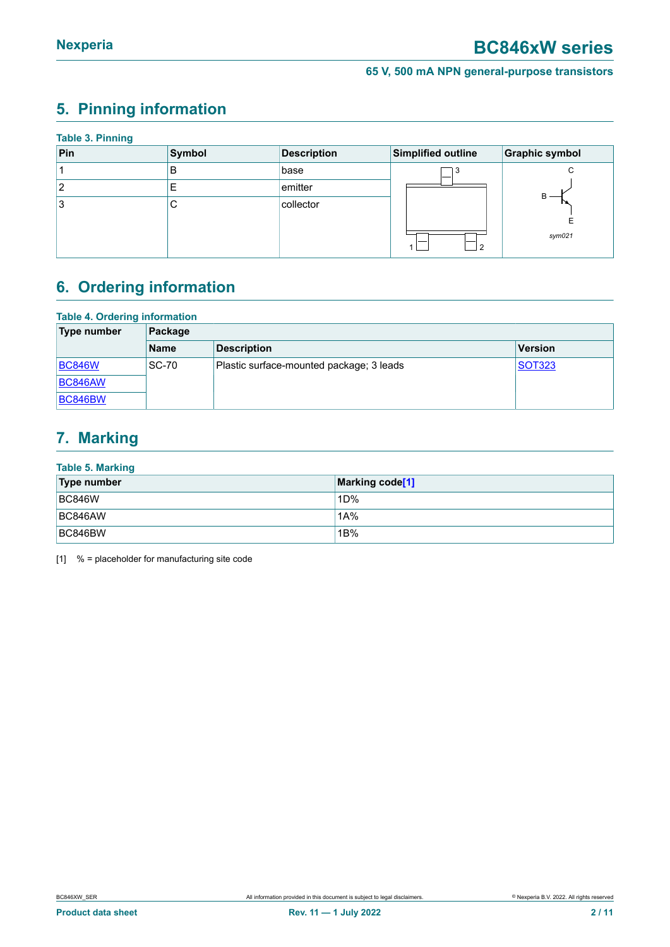### <span id="page-1-1"></span><span id="page-1-0"></span>**5. Pinning information**

| <b>Table 3. Pinning</b> |        |                    |                    |                       |
|-------------------------|--------|--------------------|--------------------|-----------------------|
| Pin                     | Symbol | <b>Description</b> | Simplified outline | <b>Graphic symbol</b> |
|                         | в      | base               | -3                 | С                     |
| 2                       |        | emitter            |                    |                       |
| 3                       | ັ      | collector          |                    | В                     |
|                         |        |                    |                    | F                     |
|                         |        |                    | റ                  | sym021                |
|                         |        |                    |                    |                       |

### <span id="page-1-2"></span>**6. Ordering information**

#### **Table 4. Ordering information Type number Package Name Description Version** [BC846W](https://www.nexperia.com/product/BC846W) SC-70 Plastic surface-mounted package; 3 leads [SOT323](https://www.nexperia.com/package/SOT323)

### <span id="page-1-3"></span>**7. Marking**

[BC846AW](https://www.nexperia.com/product/BC846AW) [BC846BW](https://www.nexperia.com/product/BC846BW)

#### **Table 5. Marking**

| Type number   | Marking code <sup>[1]</sup> |
|---------------|-----------------------------|
| <b>BC846W</b> | 1D%                         |
| BC846AW       | 1A%                         |
| BC846BW       | 1B%                         |

[1] % = placeholder for manufacturing site code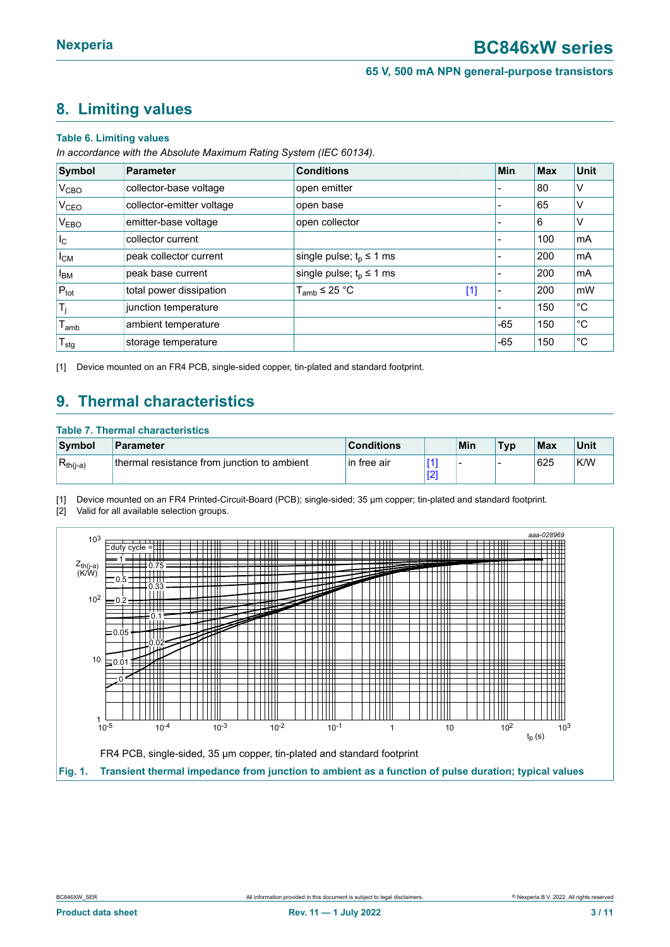### <span id="page-2-1"></span><span id="page-2-0"></span>**8. Limiting values**

#### **Table 6. Limiting values**

*In accordance with the Absolute Maximum Rating System (IEC 60134).*

| Symbol                      | Parameter                 | <b>Conditions</b>              | <b>Min</b>               | <b>Max</b> | <b>Unit</b> |
|-----------------------------|---------------------------|--------------------------------|--------------------------|------------|-------------|
| $V_{\text{CBO}}$            | collector-base voltage    | open emitter                   |                          | ⊦80        | V           |
| <b>V<sub>CEO</sub></b>      | collector-emitter voltage | open base                      |                          | 65         | ν           |
| $V_{EBO}$                   | emitter-base voltage      | open collector                 | $\overline{\phantom{0}}$ | 6          | V           |
| $ I_{\rm C} $               | collector current         |                                | $\overline{\phantom{0}}$ | 100        | mA          |
| $I_{CM}$                    | peak collector current    | single pulse; $t_{p} \le 1$ ms |                          | 200        | mA          |
| $I_{BM}$                    | peak base current         | single pulse; $t_p \leq 1$ ms  | -                        | 200        | mA          |
| $P_{\text{tot}}$            | total power dissipation   | $T_{amb}$ ≤ 25 °C<br>[1]       | -                        | 200        | mW          |
| $T_j$                       | junction temperature      |                                |                          | 150        | °C          |
| $\mathsf{T}_{\mathsf{amb}}$ | ambient temperature       |                                | -65                      | 150        | °C          |
| $T_{\text{stg}}$            | storage temperature       |                                | -65                      | 150        | °C          |

[1] Device mounted on an FR4 PCB, single-sided copper, tin-plated and standard footprint.

### <span id="page-2-2"></span>**9. Thermal characteristics**

| <b>Table 7. Thermal characteristics</b> |                                             |                   |            |                          |            |            |       |
|-----------------------------------------|---------------------------------------------|-------------------|------------|--------------------------|------------|------------|-------|
| Symbol                                  | Parameter                                   | <b>Conditions</b> |            | <b>Min</b>               | <b>Tvp</b> | <b>Max</b> | ∣Unit |
| $ R_{th(i-a)} $                         | thermal resistance from junction to ambient | l in free air     | [1]<br>[2] | $\overline{\phantom{a}}$ | -          | 625        | K/W   |

[1] Device mounted on an FR4 Printed-Circuit-Board (PCB); single-sided; 35 µm copper; tin-plated and standard footprint. Valid for all available selection groups.

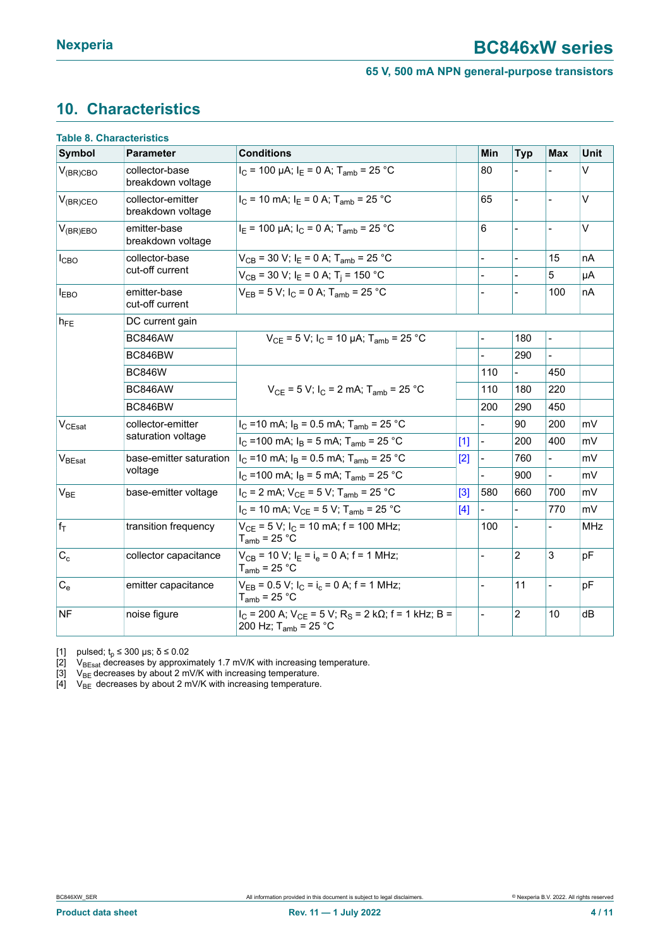### <span id="page-3-1"></span><span id="page-3-0"></span>**10. Characteristics**

|                    | <b>Table 8. Characteristics</b>        |                                                                                                          |       |                          |                          |                |             |
|--------------------|----------------------------------------|----------------------------------------------------------------------------------------------------------|-------|--------------------------|--------------------------|----------------|-------------|
| <b>Symbol</b>      | <b>Parameter</b>                       | <b>Conditions</b>                                                                                        |       | Min                      | <b>Typ</b>               | <b>Max</b>     | <b>Unit</b> |
| $V_{(BR)CBO}$      | collector-base<br>breakdown voltage    | $I_C$ = 100 µA; $I_F$ = 0 A; T <sub>amb</sub> = 25 °C                                                    |       | 80                       |                          |                | V           |
| $V_{(BR)CEO}$      | collector-emitter<br>breakdown voltage | $I_C$ = 10 mA; $I_F$ = 0 A; $T_{amb}$ = 25 °C                                                            |       | 65                       |                          |                | $\vee$      |
| $V_{(BR)EBO}$      | emitter-base<br>breakdown voltage      | $I_E$ = 100 µA; $I_C$ = 0 A; T <sub>amb</sub> = 25 °C                                                    |       | 6                        | $\overline{\phantom{0}}$ |                | V           |
| $I_{CBO}$          | collector-base                         | $V_{CB}$ = 30 V; I <sub>F</sub> = 0 A; T <sub>amb</sub> = 25 °C                                          |       | $\overline{a}$           | $\overline{a}$           | 15             | nA          |
|                    | cut-off current                        | $V_{CB}$ = 30 V; $I_E$ = 0 A; T <sub>i</sub> = 150 °C                                                    |       | $\overline{a}$           | $\blacksquare$           | 5              | μA          |
| $I_{EBO}$          | emitter-base<br>cut-off current        | $V_{FB} = 5 V$ ; $I_C = 0 A$ ; $T_{amb} = 25 °C$                                                         |       |                          |                          | 100            | nA          |
| $h_{FE}$           | DC current gain                        |                                                                                                          |       |                          |                          |                |             |
|                    | BC846AW                                | $V_{CF}$ = 5 V; I <sub>C</sub> = 10 µA; T <sub>amb</sub> = 25 °C                                         |       |                          | 180                      | $\overline{a}$ |             |
|                    | BC846BW                                |                                                                                                          |       | $\overline{a}$           | 290                      | $\overline{a}$ |             |
|                    | <b>BC846W</b>                          | $V_{CF}$ = 5 V; I <sub>C</sub> = 2 mA; T <sub>amb</sub> = 25 °C                                          |       | 110                      | L.                       | 450            |             |
|                    | BC846AW                                |                                                                                                          |       | 110                      | 180                      | 220            |             |
|                    | BC846BW                                |                                                                                                          |       | 200                      | 290                      | 450            |             |
| V <sub>CEsat</sub> | collector-emitter                      | $I_C$ =10 mA; $I_B$ = 0.5 mA; $T_{amb}$ = 25 °C                                                          |       | $\overline{\phantom{0}}$ | 90                       | 200            | mV          |
|                    | saturation voltage                     | $I_C$ =100 mA; $I_B$ = 5 mA; $T_{amb}$ = 25 °C                                                           | [1]   | $\overline{a}$           | 200                      | 400            | mV          |
| $V_{\text{BEsat}}$ | base-emitter saturation                | $I_C$ =10 mA; $I_B$ = 0.5 mA; T <sub>amb</sub> = 25 °C                                                   | [2]   | $\overline{\phantom{a}}$ | 760                      | $\overline{a}$ | mV          |
|                    | voltage                                | $I_C$ =100 mA; $I_B$ = 5 mA; T <sub>amb</sub> = 25 °C                                                    |       |                          | 900                      | $\overline{a}$ | mV          |
| $V_{BE}$           | base-emitter voltage                   | $I_C = 2$ mA; $V_{CE} = 5$ V; T <sub>amb</sub> = 25 °C                                                   | [3]   | 580                      | 660                      | 700            | mV          |
|                    |                                        | $I_C$ = 10 mA; $V_{CE}$ = 5 V; T <sub>amb</sub> = 25 °C                                                  | $[4]$ | $\overline{a}$           | L.                       | 770            | mV          |
| $f_T$              | transition frequency                   | $V_{CE}$ = 5 V; $I_C$ = 10 mA; f = 100 MHz;<br>$T_{amb}$ = 25 °C                                         |       | 100                      |                          |                | <b>MHz</b>  |
| $\mathrm{C_{c}}$   | collector capacitance                  | $V_{CB}$ = 10 V; $I_E$ = $I_e$ = 0 A; f = 1 MHz;<br>$T_{amb}$ = 25 °C                                    |       | $\overline{\phantom{0}}$ | $\overline{c}$           | 3              | pF          |
| $C_{e}$            | emitter capacitance                    | $V_{FB} = 0.5 V$ ; $I_C = I_c = 0 A$ ; f = 1 MHz;<br>$T_{amb}$ = 25 °C                                   |       | $\overline{a}$           | 11                       | $\overline{a}$ | pF          |
| <b>NF</b>          | noise figure                           | $I_C$ = 200 A; V <sub>CE</sub> = 5 V; R <sub>S</sub> = 2 kΩ; f = 1 kHz; B =<br>200 Hz; $T_{amb}$ = 25 °C |       |                          | $\overline{c}$           | 10             | dB          |

[1] pulsed;  $t_p$  ≤ 300 μs; δ ≤ 0.02

[2] VBEsat decreases by approximately 1.7 mV/K with increasing temperature.

[3]  $\quad$  V $_{\sf BE}$  decreases by about 2 mV/K with increasing temperature.

[4]  $\rm ~V_{BE}$  decreases by about 2 mV/K with increasing temperature.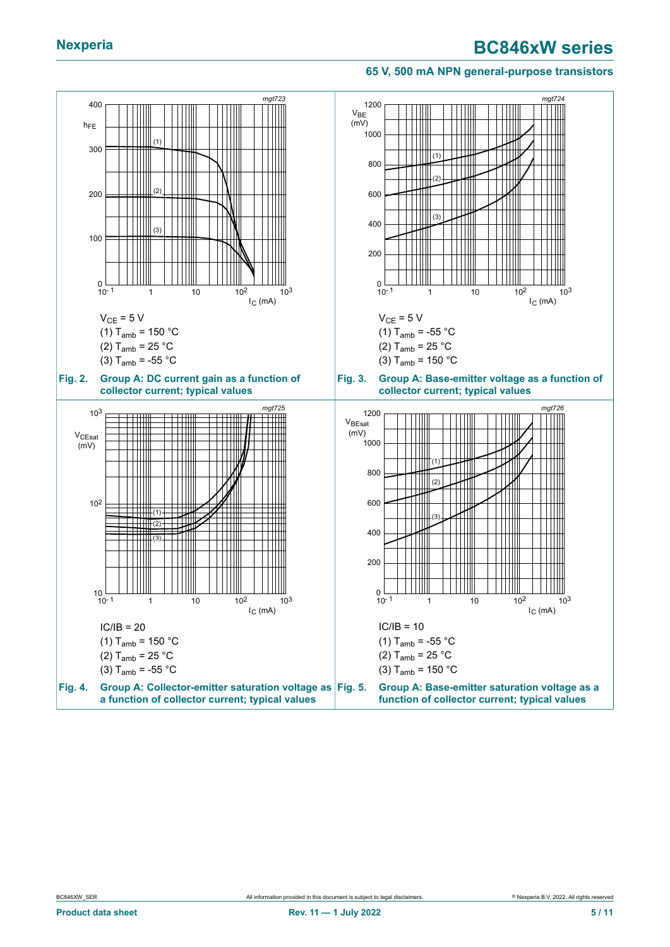### **Nexperia BC846xW series**

#### **65 V, 500 mA NPN general-purpose transistors**

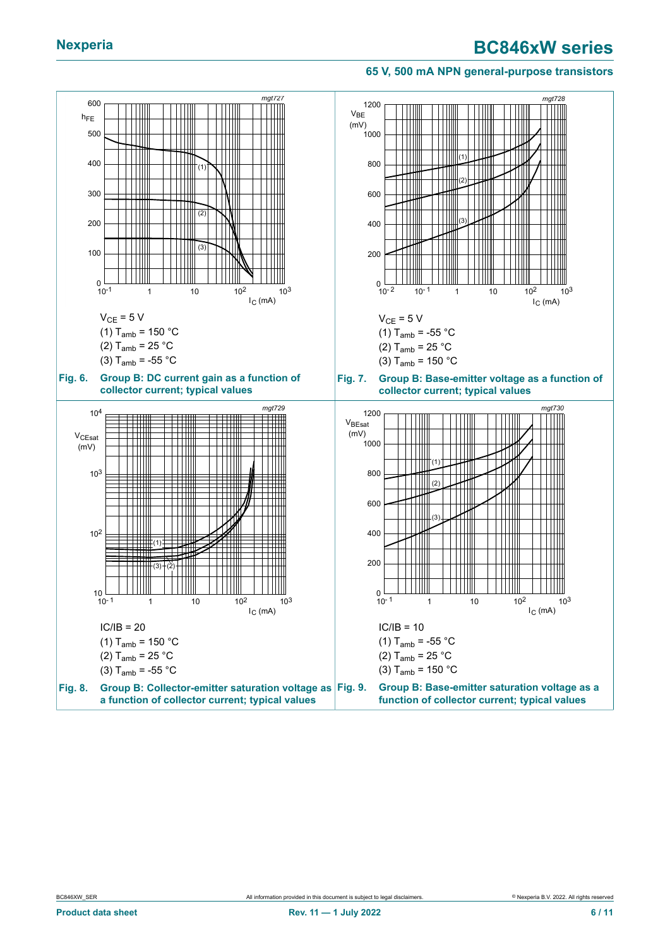### **Nexperia BC846xW series**

#### **65 V, 500 mA NPN general-purpose transistors**

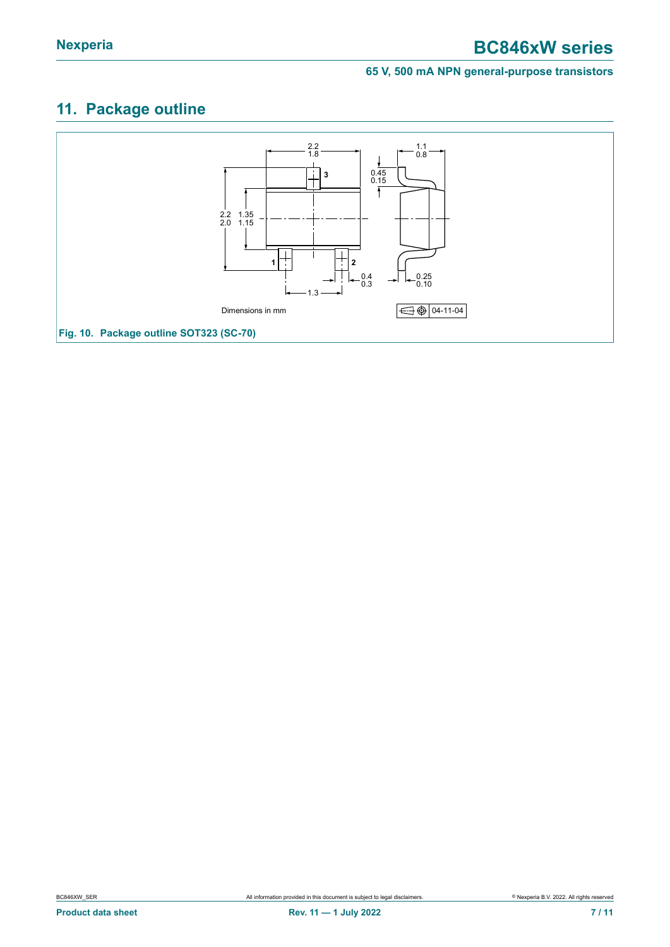### <span id="page-6-0"></span>**11. Package outline**

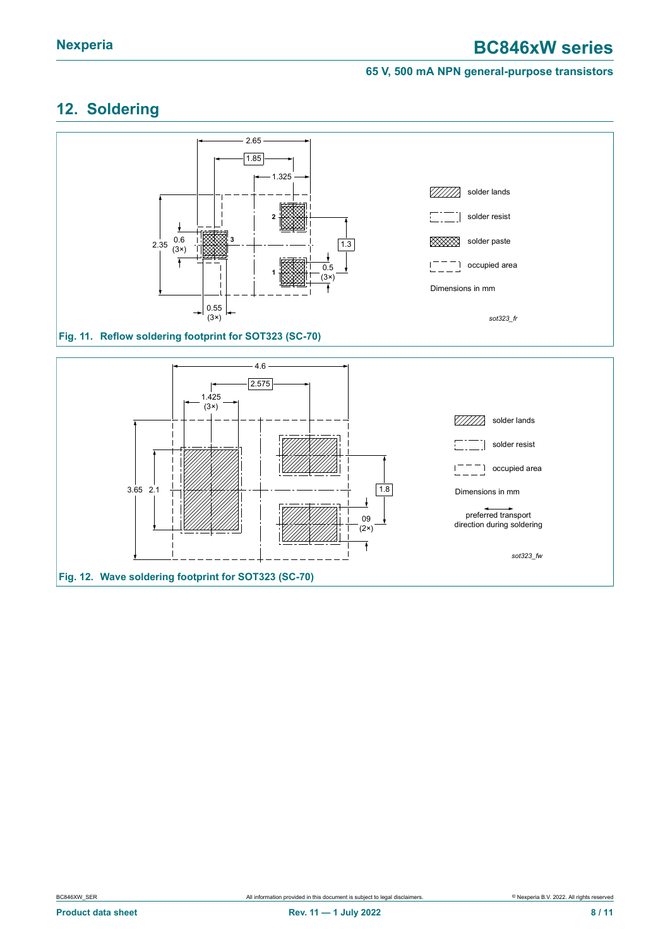### <span id="page-7-0"></span>**12. Soldering**



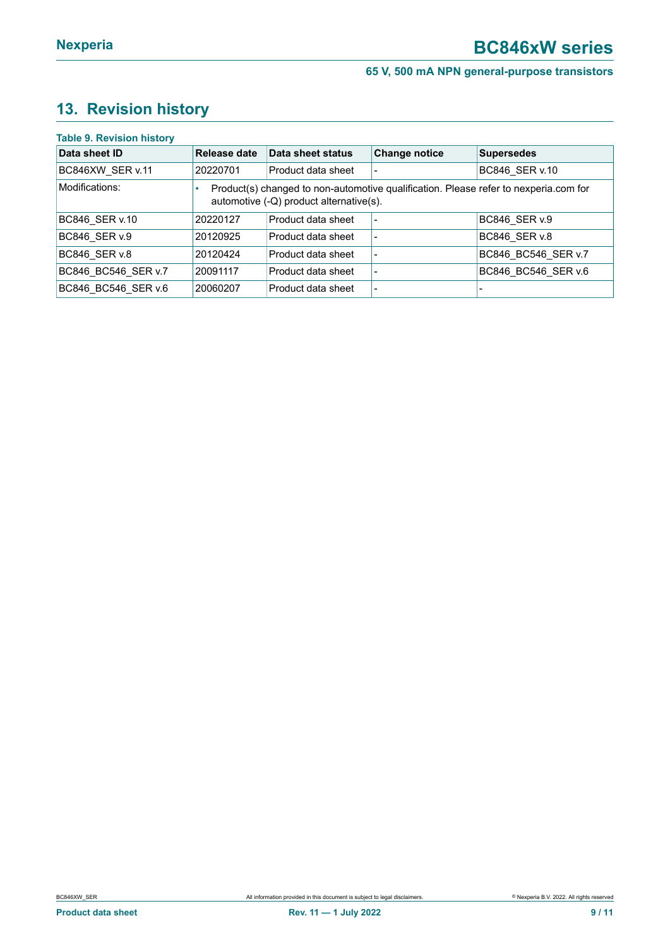### <span id="page-8-0"></span>**13. Revision history**

| <b>Table 9. Revision history</b> |              |                                         |                      |                                                                                      |
|----------------------------------|--------------|-----------------------------------------|----------------------|--------------------------------------------------------------------------------------|
| Data sheet ID                    | Release date | Data sheet status                       | <b>Change notice</b> | <b>Supersedes</b>                                                                    |
| BC846XW SER v.11                 | 20220701     | Product data sheet                      |                      | BC846 SER v.10                                                                       |
| Modifications:                   |              | automotive (-Q) product alternative(s). |                      | Product(s) changed to non-automotive qualification. Please refer to nexperia.com for |
| BC846 SER v.10                   | 20220127     | Product data sheet                      |                      | BC846 SER v.9                                                                        |
| <b>BC846 SER v.9</b>             | 20120925     | Product data sheet                      |                      | BC846 SER v.8                                                                        |
| <b>BC846 SER v.8</b>             | 20120424     | Product data sheet                      |                      | BC846 BC546 SER v.7                                                                  |
| BC846 BC546 SER v.7              | 20091117     | Product data sheet                      |                      | BC846 BC546 SER v.6                                                                  |
| BC846 BC546 SER v.6              | 20060207     | Product data sheet                      |                      |                                                                                      |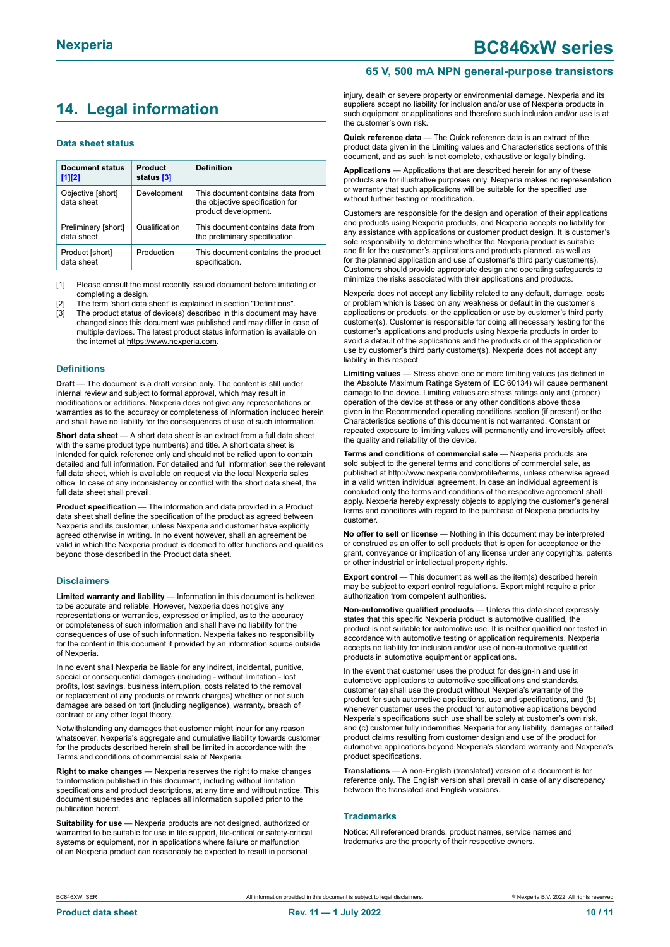### <span id="page-9-0"></span>**14. Legal information**

#### **Data sheet status**

| Document status<br>$[1]$ [2]      | <b>Product</b><br>status [3] | <b>Definition</b>                                                                           |
|-----------------------------------|------------------------------|---------------------------------------------------------------------------------------------|
| Objective [short]<br>data sheet   | Development                  | This document contains data from<br>the objective specification for<br>product development. |
| Preliminary [short]<br>data sheet | Qualification                | This document contains data from<br>the preliminary specification.                          |
| Product [short]<br>data sheet     | Production                   | This document contains the product<br>specification.                                        |

[1] Please consult the most recently issued document before initiating or completing a design.

- The term 'short data sheet' is explained in section "Definitions".
- [3] The product status of device(s) described in this document may have changed since this document was published and may differ in case of multiple devices. The latest product status information is available on the internet at [https://www.nexperia.com.](https://www.nexperia.com)

#### **Definitions**

**Draft** — The document is a draft version only. The content is still under internal review and subject to formal approval, which may result in modifications or additions. Nexperia does not give any representations or warranties as to the accuracy or completeness of information included herein and shall have no liability for the consequences of use of such information.

**Short data sheet** — A short data sheet is an extract from a full data sheet with the same product type number(s) and title. A short data sheet is intended for quick reference only and should not be relied upon to contain detailed and full information. For detailed and full information see the relevant full data sheet, which is available on request via the local Nexperia sales office. In case of any inconsistency or conflict with the short data sheet, the full data sheet shall prevail.

**Product specification** — The information and data provided in a Product data sheet shall define the specification of the product as agreed between Nexperia and its customer, unless Nexperia and customer have explicitly agreed otherwise in writing. In no event however, shall an agreement be valid in which the Nexperia product is deemed to offer functions and qualities beyond those described in the Product data sheet.

#### **Disclaimers**

**Limited warranty and liability** — Information in this document is believed to be accurate and reliable. However, Nexperia does not give any representations or warranties, expressed or implied, as to the accuracy or completeness of such information and shall have no liability for the consequences of use of such information. Nexperia takes no responsibility for the content in this document if provided by an information source outside of Nexperia.

In no event shall Nexperia be liable for any indirect, incidental, punitive, special or consequential damages (including - without limitation - lost profits, lost savings, business interruption, costs related to the removal or replacement of any products or rework charges) whether or not such damages are based on tort (including negligence), warranty, breach of contract or any other legal theory.

Notwithstanding any damages that customer might incur for any reason whatsoever, Nexperia's aggregate and cumulative liability towards customer for the products described herein shall be limited in accordance with the Terms and conditions of commercial sale of Nexperia.

**Right to make changes** — Nexperia reserves the right to make changes to information published in this document, including without limitation specifications and product descriptions, at any time and without notice. This document supersedes and replaces all information supplied prior to the publication hereof.

**Suitability for use** — Nexperia products are not designed, authorized or warranted to be suitable for use in life support, life-critical or safety-critical systems or equipment, nor in applications where failure or malfunction of an Nexperia product can reasonably be expected to result in personal

#### **65 V, 500 mA NPN general-purpose transistors**

injury, death or severe property or environmental damage. Nexperia and its suppliers accept no liability for inclusion and/or use of Nexperia products in such equipment or applications and therefore such inclusion and/or use is at the customer's own risk.

**Quick reference data** — The Quick reference data is an extract of the product data given in the Limiting values and Characteristics sections of this document, and as such is not complete, exhaustive or legally binding.

**Applications** — Applications that are described herein for any of these products are for illustrative purposes only. Nexperia makes no representation or warranty that such applications will be suitable for the specified use without further testing or modification.

Customers are responsible for the design and operation of their applications and products using Nexperia products, and Nexperia accepts no liability for any assistance with applications or customer product design. It is customer's sole responsibility to determine whether the Nexperia product is suitable and fit for the customer's applications and products planned, as well as for the planned application and use of customer's third party customer(s). Customers should provide appropriate design and operating safeguards to minimize the risks associated with their applications and products.

Nexperia does not accept any liability related to any default, damage, costs or problem which is based on any weakness or default in the customer's applications or products, or the application or use by customer's third party customer(s). Customer is responsible for doing all necessary testing for the customer's applications and products using Nexperia products in order to avoid a default of the applications and the products or of the application or use by customer's third party customer(s). Nexperia does not accept any liability in this respect.

**Limiting values** — Stress above one or more limiting values (as defined in the Absolute Maximum Ratings System of IEC 60134) will cause permanent damage to the device. Limiting values are stress ratings only and (proper) operation of the device at these or any other conditions above those given in the Recommended operating conditions section (if present) or the Characteristics sections of this document is not warranted. Constant or repeated exposure to limiting values will permanently and irreversibly affect the quality and reliability of the device.

**Terms and conditions of commercial sale** — Nexperia products are sold subject to the general terms and conditions of commercial sale, as published at [http://www.nexperia.com/profile/terms,](http://www.nexperia.com/profile/terms) unless otherwise agreed in a valid written individual agreement. In case an individual agreement is concluded only the terms and conditions of the respective agreement shall apply. Nexperia hereby expressly objects to applying the customer's general terms and conditions with regard to the purchase of Nexperia products by customer.

**No offer to sell or license** — Nothing in this document may be interpreted or construed as an offer to sell products that is open for acceptance or the grant, conveyance or implication of any license under any copyrights, patents or other industrial or intellectual property rights.

**Export control** — This document as well as the item(s) described herein may be subject to export control regulations. Export might require a prior authorization from competent authorities.

**Non-automotive qualified products** — Unless this data sheet expressly states that this specific Nexperia product is automotive qualified, the product is not suitable for automotive use. It is neither qualified nor tested in accordance with automotive testing or application requirements. Nexperia accepts no liability for inclusion and/or use of non-automotive qualified products in automotive equipment or applications.

In the event that customer uses the product for design-in and use in automotive applications to automotive specifications and standards, customer (a) shall use the product without Nexperia's warranty of the product for such automotive applications, use and specifications, and (b) whenever customer uses the product for automotive applications beyond Nexperia's specifications such use shall be solely at customer's own risk, and (c) customer fully indemnifies Nexperia for any liability, damages or failed product claims resulting from customer design and use of the product for automotive applications beyond Nexperia's standard warranty and Nexperia's product specifications.

**Translations** — A non-English (translated) version of a document is for reference only. The English version shall prevail in case of any discrepancy between the translated and English versions.

#### **Trademarks**

Notice: All referenced brands, product names, service names and trademarks are the property of their respective owners.